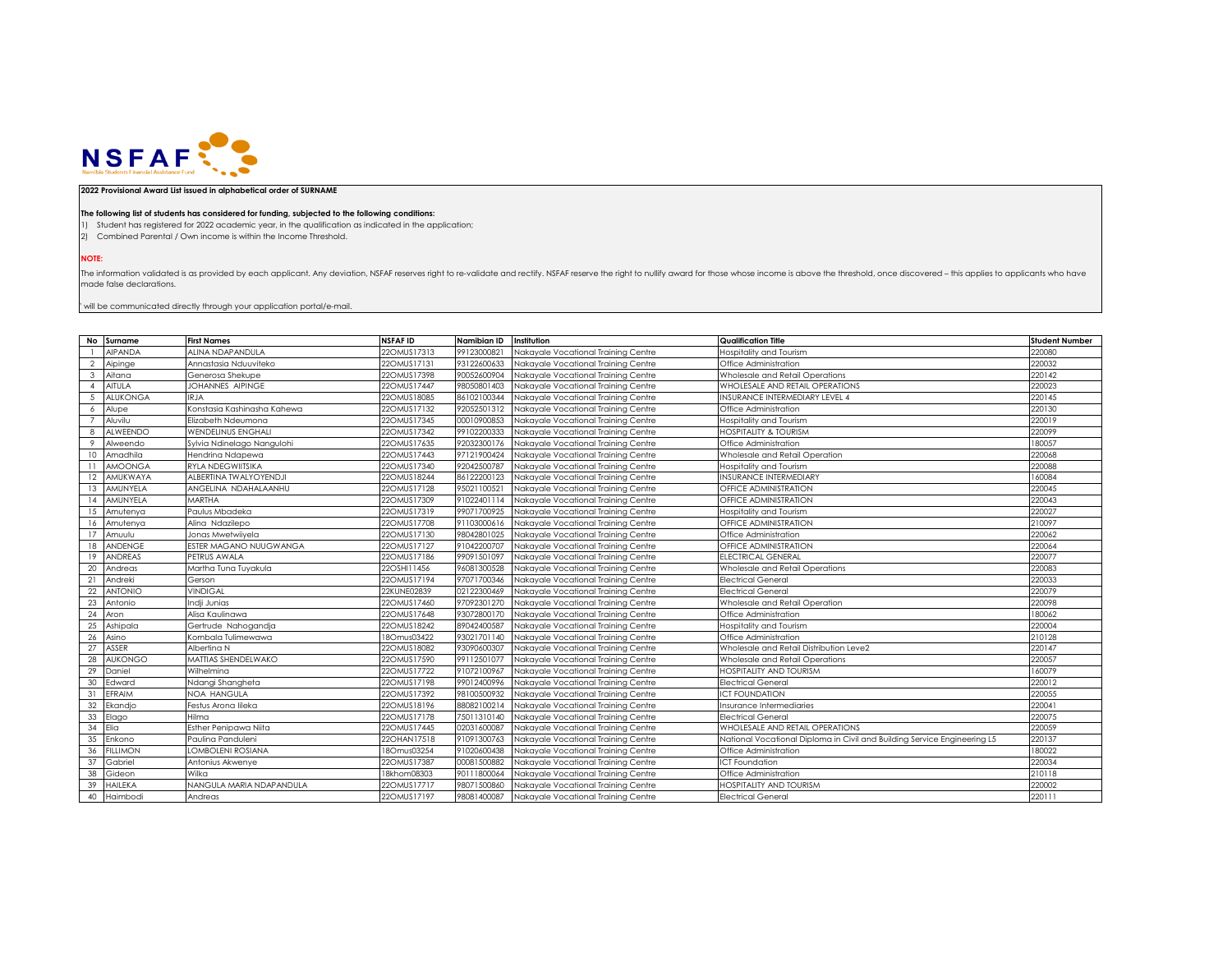

## **2022 Provisional Award List issued in alphabetical order of SURNAME**

## **The following list of students has considered for funding, subjected to the following conditions:**

1) Student has registered for 2022 academic year, in the qualification as indicated in the application;

2) Combined Parental / Own income is within the Income Threshold.

**NOTE:**

The information validated is as provided by each applicant. Any deviation, NSFAF reserves right to re-validate and rectify. NSFAF reserve the right to nullify award for those whose income is above the threshold, once disco made false declarations.

 $^{\circ}$  will be communicated directly through your application portal/e-mail.

|                | No Surname      | <b>First Names</b>          | <b>NSFAFID</b> | Namibian ID | Institution                         | <b>Qualification Title</b>                                               | <b>Student Number</b> |
|----------------|-----------------|-----------------------------|----------------|-------------|-------------------------------------|--------------------------------------------------------------------------|-----------------------|
|                | <b>AIPANDA</b>  | ALINA NDAPANDULA            | 22OMUS17313    | 99123000821 | Nakayale Vocational Training Centre | -lospitality and Tourism                                                 | 220080                |
| $\overline{2}$ | Aipinge         | Annastasia Nduuviteko       | 22OMUS17131    | 93122600633 | Nakayale Vocational Training Centre | Office Administration                                                    | 220032                |
| 3              | Aitana          | Generosa Shekupe            | 22OMUS17398    | 90052600904 | Nakayale Vocational Training Centre | Wholesale and Retail Operations                                          | 220142                |
| $\mathbf{A}$   | <b>AITULA</b>   | JOHANNES AIPINGE            | 22OMUS17447    | 98050801403 | Nakayale Vocational Training Centre | WHOLESALE AND RETAIL OPERATIONS                                          | 220023                |
| -5             | <b>ALUKONGA</b> | <b>IRJA</b>                 | 22OMUS18085    | 86102100344 | Nakayale Vocational Training Centre | <b>INSURANCE INTERMEDIARY LEVEL 4</b>                                    | 220145                |
| -6             | Alupe           | Konstasia Kashinasha Kahewa | 22OMUS17132    | 92052501312 | Nakayale Vocational Training Centre | Office Administration                                                    | 220130                |
|                | Aluvilu         | Elizabeth Ndeumona          | 22OMUS17345    | 00010900853 | Nakayale Vocational Training Centre | Hospitality and Tourism                                                  | 220019                |
| 8              | ALWEENDO        | <b>WENDELINUS ENGHALI</b>   | 22OMUS17342    | 99102200333 | Nakayale Vocational Training Centre | <b>HOSPITALITY &amp; TOURISM</b>                                         | 220099                |
| -9             | Alweendo        | Sylvia Ndinelago Nangulohi  | 22OMUS17635    | 92032300176 | Nakayale Vocational Training Centre | Office Administration                                                    | 180057                |
| 10             | Amadhila        | Hendrina Ndapewa            | 22OMUS17443    | 97121900424 | Nakayale Vocational Training Centre | Wholesale and Retail Operation                                           | 220068                |
| 11             | <b>AMOONGA</b>  | RYLA NDEGWIITSIKA           | 22OMUS17340    | 92042500787 | Nakayale Vocational Training Centre | Hospitality and Tourism                                                  | 220088                |
| 12             | AMUKWAYA        | ALBERTINA TWALYOYENDJI      | 22OMUS18244    | 86122200123 | Nakayale Vocational Training Centre | <b>INSURANCE INTERMEDIARY</b>                                            | 160084                |
| 13             | AMUNYELA        | ANGELINA NDAHALAANHU        | 22OMUS17128    | 95021100521 | Nakayale Vocational Training Centre | OFFICE ADMINISTRATION                                                    | 220045                |
| 14             | AMUNYELA        | <b>MARTHA</b>               | 22OMUS17309    | 91022401114 | Nakayale Vocational Training Centre | OFFICE ADMINISTRATION                                                    | 220043                |
| 15             | Amutenya        | Paulus Mbadeka              | 22OMUS17319    | 99071700925 | Nakayale Vocational Training Centre | Hospitality and Tourism                                                  | 220027                |
| 16             | Amutenya        | Alina Ndazilepo             | 22OMUS17708    | 91103000616 | Nakayale Vocational Training Centre | OFFICE ADMINISTRATION                                                    | 210097                |
| 17             | Amuulu          | Jonas Mwetwiivela           | 22OMUS17130    | 98042801025 | Nakayale Vocational Training Centre | Office Administration                                                    | 220062                |
| 18             | <b>ANDENGE</b>  | ESTER MAGANO NUUGWANGA      | 220MUS17127    | 91042200707 | Nakavale Vocational Trainina Centre | OFFICE ADMINISTRATION                                                    | 220064                |
| 19             | <b>ANDREAS</b>  | PETRUS AWALA                | 22OMUS17186    | 99091501097 | Nakayale Vocational Training Centre | <b>ELECTRICAL GENERAL</b>                                                | 220077                |
| 20             | Andreas         | Martha Tuna Tuyakula        | 22OSHI11456    | 96081300528 | Nakayale Vocational Training Centre | Wholesale and Retail Operations                                          | 220083                |
| 21             | Andreki         | Gerson                      | 22OMUS17194    | 97071700346 | Nakayale Vocational Training Centre | <b>Electrical General</b>                                                | 220033                |
| 22             | <b>ANTONIO</b>  | <b>VINDIGAL</b>             | 22KUNE02839    | 02122300469 | Nakayale Vocational Training Centre | Electrical General                                                       | 220079                |
| 23             | Antonio         | Indji Junias                | 22OMUS17460    | 97092301270 | Nakayale Vocational Training Centre | Wholesale and Retail Operation                                           | 220098                |
| 24             | Aron            | Alisa Kaulinawa             | 22OMUS17648    | 93072800170 | Nakayale Vocational Training Centre | Office Administration                                                    | 180062                |
| 25             | Ashipala        | Gertrude Nahogandja         | 22OMUS18242    | 89042400587 | Nakayale Vocational Training Centre | Hospitality and Tourism                                                  | 220004                |
| 26             | Asino           | Kombala Tulimewawa          | 18Omus03422    | 93021701140 | Nakayale Vocational Training Centre | Office Administration                                                    | 210128                |
| 27             | ASSER           | Albertina N                 | 22OMUS18082    | 93090600307 | Nakayale Vocational Training Centre | Wholesale and Retail Distribution Leve2                                  | 220147                |
| 28             | <b>AUKONGO</b>  | MATTIAS SHENDELWAKO         | 22OMUS17590    | 99112501077 | Nakayale Vocational Training Centre | Wholesale and Retail Operations                                          | 220057                |
| 29             | Daniel          | Wilhelmina                  | 220MUS17722    | 91072100967 | Nakayale Vocational Training Centre | HOSPITALITY AND TOURISM                                                  | 160079                |
| 30             | Edward          | Ndangi Shangheta            | 22OMUS17198    | 99012400996 | Nakayale Vocational Training Centre | <b>Electrical General</b>                                                | 220012                |
| 31             | EFRAIM          | <b>NOA HANGULA</b>          | 22OMUS17392    | 98100500932 | Nakayale Vocational Training Centre | CT FOUNDATION                                                            | 220055                |
| 32             | Ekandjo         | Festus Arona lileka         | 22OMUS18196    | 88082100214 | Nakayale Vocational Training Centre | Insurance Intermediaries                                                 | 220041                |
| 33             | Elago           | Hilma                       | 22OMUS17178    | 75011310140 | Nakayale Vocational Training Centre | <b>Electrical General</b>                                                | 220075                |
| 34             | Elia            | Esther Penipawa Niita       | 22OMUS17445    | 02031600087 | Nakayale Vocational Training Centre | WHOLESALE AND RETAIL OPERATIONS                                          | 220059                |
| 35             | Enkono          | Paulina Panduleni           | 22OHAN17518    | 91091300763 | Nakayale Vocational Training Centre | National Vocational Diploma in Civil and Building Service Engineering L5 | 220137                |
| 36             | <b>FILLIMON</b> | LOMBOLENI ROSIANA           | 18Omus03254    | 91020600438 | Nakayale Vocational Training Centre | Office Administration                                                    | 180022                |
| 37             | Gabriel         | Antonius Akwenye            | 22OMUS17387    | 00081500882 | Nakayale Vocational Training Centre | CT Foundation                                                            | 220034                |
| 38             | Gideon          | Wilka                       | 18khom08303    | 90111800064 | Nakayale Vocational Training Centre | Office Administration                                                    | 210118                |
| 39             | <b>HAILEKA</b>  | NANGULA MARIA NDAPANDULA    | 220MUS17717    | 98071500860 | Nakavale Vocational Trainina Centre | <b>OSPITALITY AND TOURISM</b>                                            | 220002                |
| 40             | Haimbodi        | Andreas                     | 22OMUS17197    | 98081400087 | Nakavale Vocational Trainina Centre | <b>Electrical General</b>                                                | 220111                |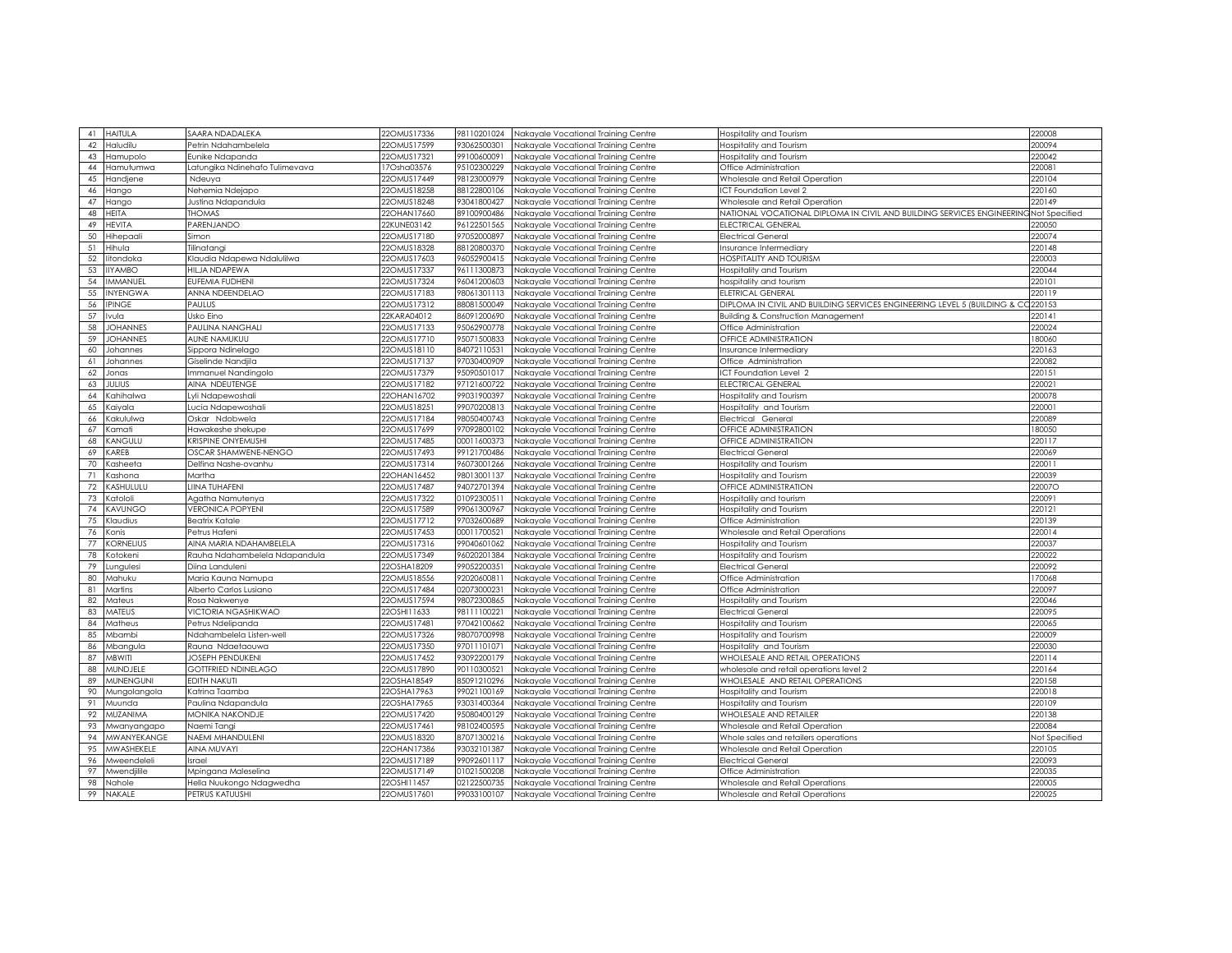| 41 HAITULA                                                                                                                                                                        | SAARA NDADALEKA                | 22OMUS17336 | 98110201024 | Nakayale Vocational Training Centre | Hospitality and Tourism                                                  | 220008        |
|-----------------------------------------------------------------------------------------------------------------------------------------------------------------------------------|--------------------------------|-------------|-------------|-------------------------------------|--------------------------------------------------------------------------|---------------|
| 42<br>Haludilu                                                                                                                                                                    | Petrin Ndahambelela            | 22OMUS17599 | 93062500301 | Nakayale Vocational Training Centre | Hospitality and Tourism                                                  | 200094        |
|                                                                                                                                                                                   |                                | 22OMUS17321 |             |                                     |                                                                          | 220042        |
| 43<br>Hamupolo                                                                                                                                                                    | Eunike Ndapanda                |             | 99100600091 | Nakayale Vocational Training Centre | Iospitality and Tourism                                                  |               |
| 44<br>Hamutumwa                                                                                                                                                                   | Latungika Ndinehafo Tulimevava | 17Osha03576 | 95102300229 | Nakayale Vocational Training Centre | Office Administration                                                    | 220081        |
| Handjene<br>45                                                                                                                                                                    | Ndeuya                         | 22OMUS17449 | 98123000979 | Nakayale Vocational Training Centre | Wholesale and Retail Operation                                           | 220104        |
| 46<br>Hango                                                                                                                                                                       | Nehemia Ndejapo                | 22OMUS18258 | 88122800106 | Nakayale Vocational Training Centre | CT Foundation Level 2                                                    | 220160        |
| 47<br>Hango                                                                                                                                                                       | Justina Ndapandula             | 22OMUS18248 | 93041800427 | Nakayale Vocational Training Centre | Wholesale and Retail Operation                                           | 220149        |
| HEITA<br>48                                                                                                                                                                       | <b>THOMAS</b>                  | 22OHAN17660 | 89100900486 | Nakayale Vocational Training Centre | NATIONAL VOCATIONAL DIPLOMA IN CIVIL AND BUILDING SERVICES ENGINEERIN    | Not Specified |
| 49<br><b>HEVITA</b>                                                                                                                                                               | PARENJANDO                     | 22KUNE03142 | 96122501565 | Nakayale Vocational Training Centre | ELECTRICAL GENERAL                                                       | 220050        |
| 50<br>Hihepaali                                                                                                                                                                   | imon                           | 22OMUS17180 | 97052000897 | Nakayale Vocational Training Centre | Electrical General                                                       | 220074        |
| 51<br>Hihula                                                                                                                                                                      | ʻilinatangi                    | 22OMUS18328 | 88120800370 | Nakayale Vocational Training Centre | Insurance Intermediary                                                   | 220148        |
| 52<br>litondoka                                                                                                                                                                   | Klaudia Ndapewa Ndalulilwa     | 22OMUS17603 | 96052900415 | Nakayale Vocational Training Centre | <b>IOSPITALITY AND TOURISM</b>                                           | 220003        |
| <b>IIYAMBO</b><br>53                                                                                                                                                              | HILJA NDAPEWA                  | 22OMUS17337 | 96111300873 | Nakayale Vocational Training Centre | Hospitality and Tourism                                                  | 220044        |
| 54<br>IMMANUEL                                                                                                                                                                    | EUFEMIA FUDHENI                | 22OMUS17324 | 96041200603 | Nakayale Vocational Training Centre | ospitality and tourism                                                   | 220101        |
| 55<br><b>INYENGWA</b>                                                                                                                                                             | ANNA NDEENDELAO                | 22OMUS17183 | 98061301113 | Nakayale Vocational Training Centre | ELETRICAL GENERAL                                                        | 220119        |
| 56<br><b>IPINGE</b>                                                                                                                                                               | PAULUS                         | 22OMUS17312 | 88081500049 | Nakayale Vocational Training Centre | DIPLOMA IN CIVIL AND BUILDING SERVICES ENGINEERING LEVEL 5 (BUILDING & C | 220153        |
| 57<br>Ivula                                                                                                                                                                       | Usko Eino                      | 22KARA04012 | 86091200690 | Nakayale Vocational Training Centre | <b>Building &amp; Construction Management</b>                            | 220141        |
| 58<br><b>JOHANNES</b>                                                                                                                                                             | PAULINA NANGHALI               | 22OMUS17133 | 95062900778 | Nakayale Vocational Training Centre | Office Administration                                                    | 220024        |
| 59<br><b>JOHANNES</b>                                                                                                                                                             | AUNE NAMUKUU                   | 22OMUS17710 | 95071500833 | Nakayale Vocational Training Centre | OFFICE ADMINISTRATION                                                    | 180060        |
| 60<br>Johannes                                                                                                                                                                    | Sippora Ndinelago              | 22OMUS18110 | 84072110531 | Nakayale Vocational Training Centre | Insurance Intermediary                                                   | 220163        |
| 61<br>Johannes                                                                                                                                                                    | Giselinde Nandjila             | 22OMUS17137 | 97030400909 | Nakayale Vocational Training Centre | Office Administration                                                    | 220082        |
| 62<br>Jonas                                                                                                                                                                       | Immanuel Nandingolo            | 22OMUS17379 | 95090501017 | Nakayale Vocational Training Centre | CT Foundation Level 2                                                    | 220151        |
| <b>JULIUS</b>                                                                                                                                                                     | AINA NDEUTENGE                 | 22OMUS17182 | 97121600722 |                                     | ELECTRICAL GENERAL                                                       | 220021        |
| 63                                                                                                                                                                                |                                |             |             | Nakayale Vocational Training Centre |                                                                          | 200078        |
| 64<br>Kahihalwa                                                                                                                                                                   | Lyli Ndapewoshali              | 22OHAN16702 | 99031900397 | Nakayale Vocational Training Centre | Iospitality and Tourism                                                  |               |
| 65<br>Kaiyala                                                                                                                                                                     | Lucia Ndapewoshali             | 22OMUS18251 | 99070200813 | Nakayale Vocational Training Centre | Hospitality and Tourism                                                  | 220001        |
| 66<br>Kakululwa                                                                                                                                                                   | Oskar Ndobwela                 | 22OMUS17184 | 98050400743 | Nakayale Vocational Training Centre | Electrical General                                                       | 220089        |
| 67<br>Kamati                                                                                                                                                                      | Hawakeshe shekupe              | 22OMUS17699 | 97092800102 | Nakayale Vocational Training Centre | OFFICE ADMINISTRATION                                                    | 180050        |
| KANGULU<br>68                                                                                                                                                                     | KRISPINE ONYEMUSHI             | 22OMUS17485 | 00011600373 | Nakayale Vocational Training Centre | OFFICE ADMINISTRATION                                                    | 220117        |
| 69<br>KAREB                                                                                                                                                                       | OSCAR SHAMWENE-NENGO           | 22OMUS17493 | 99121700486 | Nakayale Vocational Training Centre | <b>Electrical General</b>                                                | 220069        |
| 70<br>Kasheeta                                                                                                                                                                    | Delfina Nashe-ovanhu           | 22OMUS17314 | 96073001266 | Nakayale Vocational Training Centre | Iospitality and Tourism                                                  | 220011        |
| 71<br><ashona< td=""><td>Martha</td><td>22OHAN16452</td><td>98013001137</td><td>Nakayale Vocational Training Centre</td><td>Iospitality and Tourism</td><td>220039</td></ashona<> | Martha                         | 22OHAN16452 | 98013001137 | Nakayale Vocational Training Centre | Iospitality and Tourism                                                  | 220039        |
| 72<br>KASHULULU                                                                                                                                                                   | LIINA TUHAFENI                 | 22OMUS17487 | 94072701394 | Nakayale Vocational Training Centre | OFFICE ADMINISTRATION                                                    | 220070        |
| 73<br>Katololi                                                                                                                                                                    | Agatha Namutenya               | 22OMUS17322 | 01092300511 | Nakayale Vocational Training Centre | lospitalily and tourism                                                  | 220091        |
| 74<br><b>KAVUNGO</b>                                                                                                                                                              | <b>VERONICA POPYENI</b>        | 22OMUS17589 | 99061300967 | Nakayale Vocational Training Centre | <b>Hospitality and Tourism</b>                                           | 220121        |
| 75<br>Klaudius                                                                                                                                                                    | Beatrix Katale                 | 22OMUS17712 | 97032600689 | Nakayale Vocational Training Centre | Office Administration                                                    | 220139        |
| 76<br>Konis                                                                                                                                                                       | Petrus Hafeni                  | 22OMUS17453 | 00011700521 | Nakayale Vocational Training Centre | Wholesale and Retail Operations                                          | 220014        |
| 77<br><b>KORNELIUS</b>                                                                                                                                                            | AINA MARIA NDAHAMBELELA        | 22OMUS17316 | 99040601062 | Nakayale Vocational Training Centre | Hospitality and Tourism                                                  | 220037        |
| 78<br>Kotokeni                                                                                                                                                                    | Rauha Ndahambelela Ndapandula  | 22OMUS17349 | 96020201384 | Nakayale Vocational Training Centre | <b>Hospitality and Tourism</b>                                           | 220022        |
| 79<br>Lungulesi                                                                                                                                                                   | Diina Landuleni                | 22OSHA18209 | 99052200351 | Nakayale Vocational Training Centre | Electrical General                                                       | 220092        |
| 80<br>Mahuku                                                                                                                                                                      | Maria Kauna Namupa             | 22OMUS18556 | 9202060081  | Nakayale Vocational Training Centre | Office Administration                                                    | 170068        |
| 81<br>Martins                                                                                                                                                                     | Alberto Carlos Lusiano         | 22OMUS17484 | 02073000231 | Nakayale Vocational Training Centre | Office Administration                                                    | 220097        |
| 82<br>Mateus                                                                                                                                                                      | Rosa Nakwenye                  | 22OMUS17594 | 98072300865 | Nakayale Vocational Training Centre |                                                                          | 220046        |
| 83<br><b>MATEUS</b>                                                                                                                                                               | VICTORIA NGASHIKWAO            | 22OSHI11633 | 98111100221 | Nakayale Vocational Training Centre | Hospitality and Tourism<br>Electrical General                            | 220095        |
|                                                                                                                                                                                   |                                |             |             |                                     |                                                                          |               |
| 84<br>Matheus                                                                                                                                                                     | Petrus Ndelipanda              | 22OMUS17481 | 97042100662 | Nakayale Vocational Training Centre | Hospitality and Tourism                                                  | 220065        |
| 85<br>Mbambi                                                                                                                                                                      | Ndahambelela Listen-well       | 22OMUS17326 | 98070700998 | Nakayale Vocational Training Centre | Hospitality and Tourism                                                  | 220009        |
| 86<br>Mbangula                                                                                                                                                                    | Rauna Ndaetaouwa               | 22OMUS17350 | 97011101071 | Nakayale Vocational Training Centre | Hospitality and Tourism                                                  | 220030        |
| 87<br>MBWITI                                                                                                                                                                      | <b>JOSEPH PENDUKENI</b>        | 22OMUS17452 | 93092200179 | Nakayale Vocational Training Centre | WHOLESALE AND RETAIL OPERATIONS                                          | 220114        |
| MUNDJELE<br>88                                                                                                                                                                    | GOTTFRIED NDINELAGO            | 22OMUS17890 | 90110300521 | Nakayale Vocational Training Centre | wholesale and retail operations level 2                                  | 220164        |
| <b>MUNENGUNI</b><br>89                                                                                                                                                            | <b>EDITH NAKUTI</b>            | 22OSHA18549 | 85091210296 | Nakayale Vocational Training Centre | WHOLESALE AND RETAIL OPERATIONS                                          | 220158        |
| 90<br>Mungolangola                                                                                                                                                                | Katrina Taamba                 | 22OSHA17963 | 99021100169 | Nakayale Vocational Training Centre | Iospitality and Tourism                                                  | 220018        |
| 91<br>Muunda                                                                                                                                                                      | Paulina Ndapandula             | 22OSHA17965 | 93031400364 | Nakayale Vocational Training Centre | Hospitality and Tourism                                                  | 220109        |
| 92<br>MUZANIMA                                                                                                                                                                    | MONIKA NAKONDJE                | 22OMUS17420 | 95080400129 | Nakayale Vocational Training Centre | WHOLESALE AND RETAILER                                                   | 220138        |
| 93<br>Mwanyangapo                                                                                                                                                                 | Naemi Tangi                    | 22OMUS17461 | 98102400595 | Nakayale Vocational Training Centre | Wholesale and Retail Operation                                           | 220084        |
| 94<br><b>MWANYEKANGE</b>                                                                                                                                                          | NAEMI MHANDULENI               | 22OMUS18320 | 87071300216 | Nakayale Vocational Training Centre | Whole sales and retailers operations                                     | Not Specified |
| 95<br><b>MWASHEKELE</b>                                                                                                                                                           | <b>AINA MUVAYI</b>             | 22OHAN17386 | 93032101387 | Nakayale Vocational Training Centre | Wholesale and Retail Operation                                           | 220105        |
| 96<br>Mweendeleli                                                                                                                                                                 | Israel                         | 22OMUS17189 | 99092601117 | Nakayale Vocational Training Centre | <b>Electrical General</b>                                                | 220093        |
| 97<br>Mwendiilile                                                                                                                                                                 | Mpingana Maleselina            | 22OMUS17149 | 01021500208 | Nakavale Vocational Trainina Centre | Office Administration                                                    | 220035        |
| 98<br>Nahole                                                                                                                                                                      | Hella Nuukongo Ndagwedha       | 22OSHI11457 | 02122500735 | Nakavale Vocational Trainina Centre | Wholesale and Retail Operations                                          | 220005        |
| 99 NAKALE                                                                                                                                                                         | PETRUS KATUUSHI                | 22OMUS17601 | 99033100107 | Nakayale Vocational Training Centre | Wholesale and Retail Operations                                          | 220025        |
|                                                                                                                                                                                   |                                |             |             |                                     |                                                                          |               |